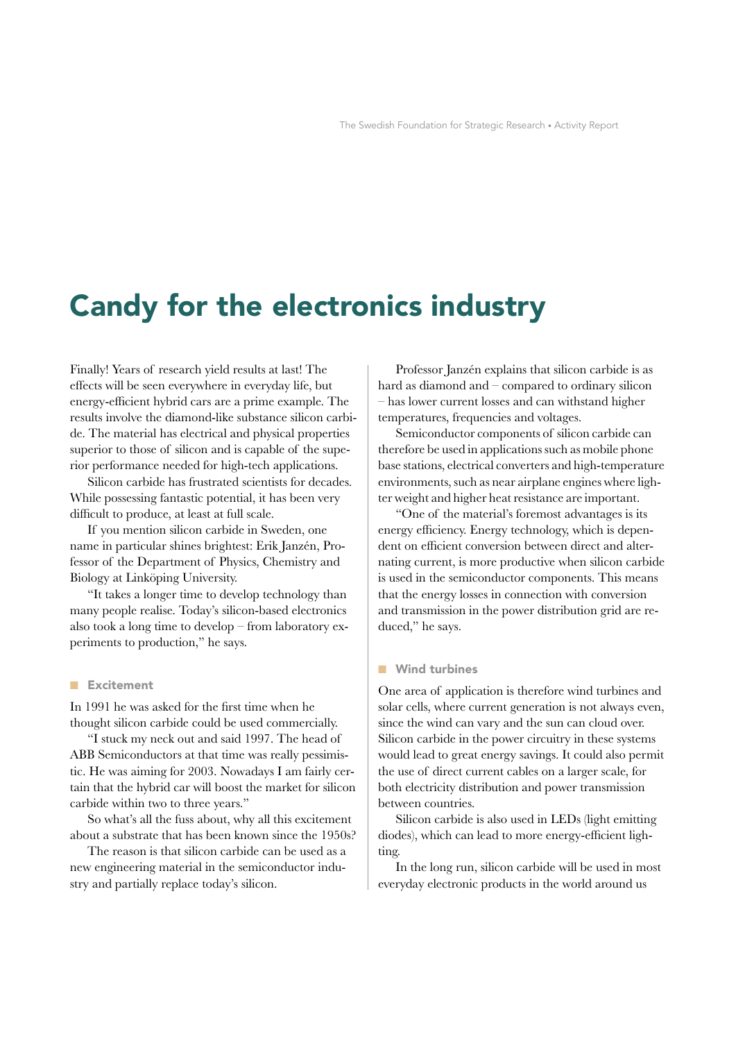# **Candy for the electronics industry**

Finally! Years of research yield results at last! The effects will be seen everywhere in everyday life, but energy-efficient hybrid cars are a prime example. The results involve the diamond-like substance silicon carbide. The material has electrical and physical properties superior to those of silicon and is capable of the superior performance needed for high-tech applications.

Silicon carbide has frustrated scientists for decades. While possessing fantastic potential, it has been very difficult to produce, at least at full scale.

If you mention silicon carbide in Sweden, one name in particular shines brightest: Erik Janzén, Professor of the Department of Physics, Chemistry and Biology at Linköping University.

"It takes a longer time to develop technology than many people realise. Today's silicon-based electronics also took a long time to develop – from laboratory experiments to production," he says.

## **Excitement**

In 1991 he was asked for the first time when he thought silicon carbide could be used commercially.

"I stuck my neck out and said 1997. The head of ABB Semiconductors at that time was really pessimistic. He was aiming for 2003. Nowadays I am fairly certain that the hybrid car will boost the market for silicon carbide within two to three years."

So what's all the fuss about, why all this excitement about a substrate that has been known since the 1950s?

The reason is that silicon carbide can be used as a new engineering material in the semiconductor industry and partially replace today's silicon.

Professor Janzén explains that silicon carbide is as hard as diamond and - compared to ordinary silicon - has lower current losses and can withstand higher temperatures, frequencies and voltages.

Semiconductor components of silicon carbide can therefore be used in applications such as mobile phone base stations, electrical converters and high-temperature environments, such as near airplane engines where lighter weight and higher heat resistance are important.

"One of the material's foremost advantages is its energy efficiency. Energy technology, which is dependent on efficient conversion between direct and alternating current, is more productive when silicon carbide is used in the semiconductor components. This means that the energy losses in connection with conversion and transmission in the power distribution grid are reduced," he says.

## **Wind turbines**

One area of application is therefore wind turbines and solar cells, where current generation is not always even, since the wind can vary and the sun can cloud over. Silicon carbide in the power circuitry in these systems would lead to great energy savings. It could also permit the use of direct current cables on a larger scale, for both electricity distribution and power transmission between countries.

Silicon carbide is also used in LEDs (light emitting diodes), which can lead to more energy-efficient lighting.

In the long run, silicon carbide will be used in most everyday electronic products in the world around us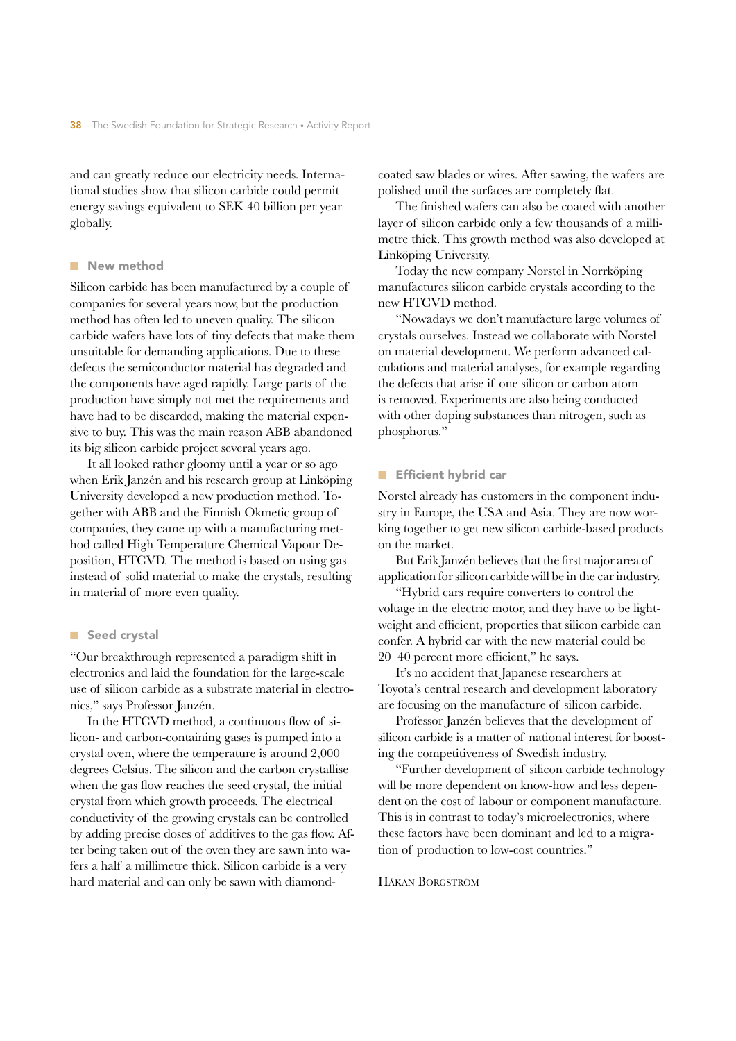and can greatly reduce our electricity needs. International studies show that silicon carbide could permit energy savings equivalent to SEK 40 billion per year globally.

### ■ New method

Silicon carbide has been manufactured by a couple of companies for several years now, but the production method has often led to uneven quality. The silicon carbide wafers have lots of tiny defects that make them unsuitable for demanding applications. Due to these defects the semiconductor material has degraded and the components have aged rapidly. Large parts of the production have simply not met the requirements and have had to be discarded, making the material expensive to buy. This was the main reason ABB abandoned its big silicon carbide project several years ago.

It all looked rather gloomy until a year or so ago when Erik Janzén and his research group at Linköping University developed a new production method. Together with ABB and the Finnish Okmetic group of companies, they came up with a manufacturing method called High Temperature Chemical Vapour Deposition, HTCVD. The method is based on using gas instead of solid material to make the crystals, resulting in material of more even quality.

# ■ Seed crystal

"Our breakthrough represented a paradigm shift in electronics and laid the foundation for the large-scale use of silicon carbide as a substrate material in electronics," says Professor Janzén.

In the HTCVD method, a continuous flow of silicon- and carbon-containing gases is pumped into a crystal oven, where the temperature is around 2,000 degrees Celsius. The silicon and the carbon crystallise when the gas flow reaches the seed crystal, the initial crystal from which growth proceeds. The electrical conductivity of the growing crystals can be controlled by adding precise doses of additives to the gas flow. After being taken out of the oven they are sawn into wafers a half a millimetre thick. Silicon carbide is a very hard material and can only be sawn with diamondcoated saw blades or wires. After sawing, the wafers are polished until the surfaces are completely flat.

The finished wafers can also be coated with another layer of silicon carbide only a few thousands of a millimetre thick. This growth method was also developed at Linköping University.

Today the new company Norstel in Norrköping manufactures silicon carbide crystals according to the new HTCVD method.

"Nowadays we don't manufacture large volumes of crystals ourselves. Instead we collaborate with Norstel on material development. We perform advanced calculations and material analyses, for example regarding the defects that arise if one silicon or carbon atom is removed. Experiments are also being conducted with other doping substances than nitrogen, such as phosphorus."

#### Efficient hybrid car

Norstel already has customers in the component industry in Europe, the USA and Asia. They are now working together to get new silicon carbide-based products on the market.

But Erik Janzén believes that the first major area of application for silicon carbide will be in the car industry.

"Hybrid cars require converters to control the voltage in the electric motor, and they have to be lightweight and efficient, properties that silicon carbide can confer. A hybrid car with the new material could be 20–40 percent more efficient," he says.

It's no accident that Japanese researchers at Toyota's central research and development laboratory are focusing on the manufacture of silicon carbide.

Professor Janzén believes that the development of silicon carbide is a matter of national interest for boosting the competitiveness of Swedish industry.

"Further development of silicon carbide technology will be more dependent on know-how and less dependent on the cost of labour or component manufacture. This is in contrast to today's microelectronics, where these factors have been dominant and led to a migration of production to low-cost countries."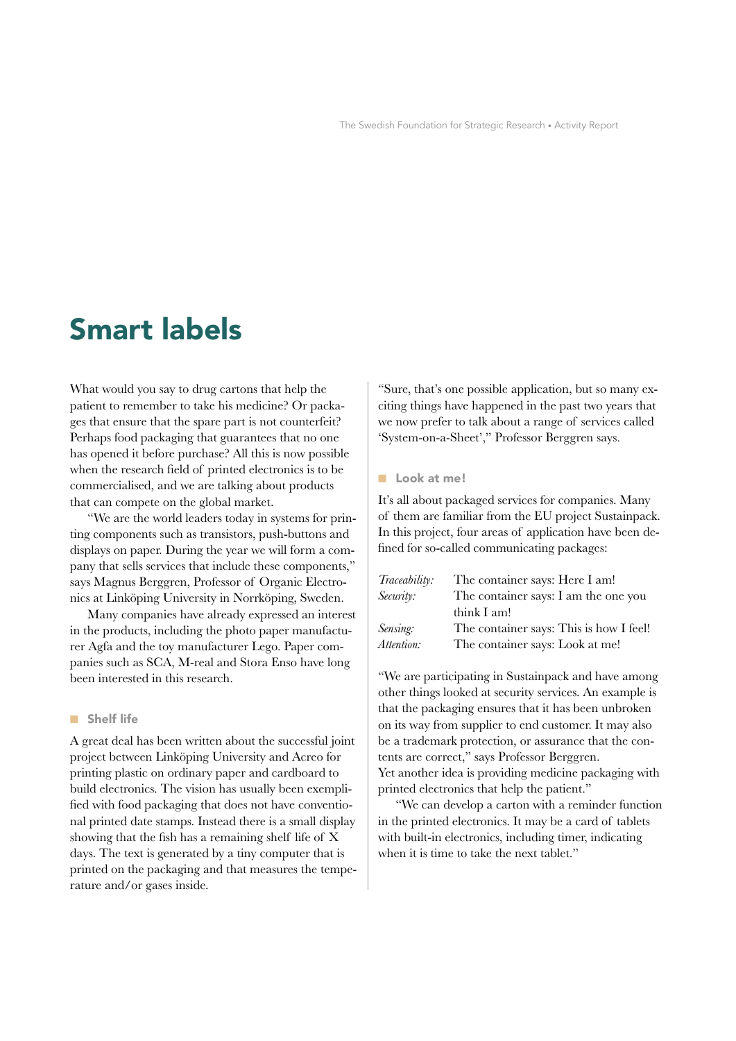# **Smart labels**

What would you say to drug cartons that help the patient to remember to take his medicine? Or packages that ensure that the spare part is not counterfeit? Perhaps food packaging that guarantees that no one has opened it before purchase? All this is now possible when the research field of printed electronics is to be commercialised, and we are talking about products that can compete on the global market.

"We are the world leaders today in systems for printing components such as transistors, push-buttons and displays on paper. During the year we will form a company that sells services that include these components," says Magnus Berggren, Professor of Organic Electronics at Linköping University in Norrköping, Sweden.

Many companies have already expressed an interest in the products, including the photo paper manufacturer Agfa and the toy manufacturer Lego. Paper companies such as SCA, M-real and Stora Enso have long been interested in this research.

### ■ Shelf life

A great deal has been written about the successful joint project between Linköping University and Acreo for printing plastic on ordinary paper and cardboard to build electronics. The vision has usually been exemplified with food packaging that does not have conventional printed date stamps. Instead there is a small display showing that the fish has a remaining shelf life of X days. The text is generated by a tiny computer that is printed on the packaging and that measures the temperature and/or gases inside.

"Sure, that's one possible application, but so many exciting things have happened in the past two years that we now prefer to talk about a range of services called 'System-on-a-Sheet'," Professor Berggren says.

#### ■ Look at me!

It's all about packaged services for companies. Many of them are familiar from the EU project Sustainpack. In this project, four areas of application have been defined for so-called communicating packages:

| Traceability: | The container says: Here I am!          |
|---------------|-----------------------------------------|
| Security:     | The container says: I am the one you    |
|               | think I am!                             |
| Sensing:      | The container says: This is how I feel! |
| Attention:    | The container says: Look at me!         |
|               |                                         |

"We are participating in Sustainpack and have among other things looked at security services. An example is that the packaging ensures that it has been unbroken on its way from supplier to end customer. It may also be a trademark protection, or assurance that the contents are correct," says Professor Berggren. Yet another idea is providing medicine packaging with printed electronics that help the patient."

"We can develop a carton with a reminder function in the printed electronics. It may be a card of tablets with built-in electronics, including timer, indicating when it is time to take the next tablet."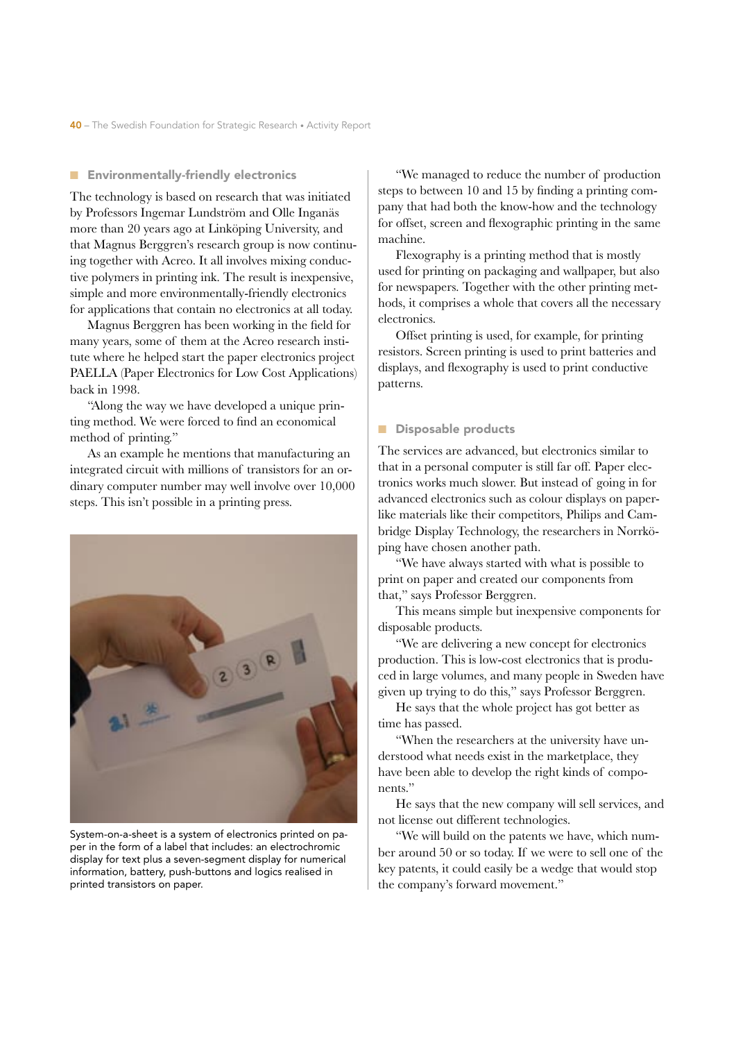#### ■ Environmentally-friendly electronics

The technology is based on research that was initiated by Professors Ingemar Lundström and Olle Inganäs more than 20 years ago at Linköping University, and that Magnus Berggren's research group is now continuing together with Acreo. It all involves mixing conductive polymers in printing ink. The result is inexpensive, simple and more environmentally-friendly electronics for applications that contain no electronics at all today.

Magnus Berggren has been working in the field for many years, some of them at the Acreo research institute where he helped start the paper electronics project PAELLA (Paper Electronics for Low Cost Applications) back in 1998.

"Along the way we have developed a unique printing method. We were forced to find an economical method of printing."

As an example he mentions that manufacturing an integrated circuit with millions of transistors for an ordinary computer number may well involve over 10,000 steps. This isn't possible in a printing press.



System-on-a-sheet is a system of electronics printed on paper in the form of a label that includes: an electrochromic display for text plus a seven-segment display for numerical information, battery, push-buttons and logics realised in printed transistors on paper.

"We managed to reduce the number of production steps to between 10 and 15 by finding a printing company that had both the know-how and the technology for offset, screen and flexographic printing in the same machine.

Flexography is a printing method that is mostly used for printing on packaging and wallpaper, but also for newspapers. Together with the other printing methods, it comprises a whole that covers all the necessary electronics.

Offset printing is used, for example, for printing resistors. Screen printing is used to print batteries and displays, and flexography is used to print conductive patterns.

#### Disposable products

The services are advanced, but electronics similar to that in a personal computer is still far off. Paper electronics works much slower. But instead of going in for advanced electronics such as colour displays on paperlike materials like their competitors, Philips and Cambridge Display Technology, the researchers in Norrköping have chosen another path.

"We have always started with what is possible to print on paper and created our components from that," says Professor Berggren.

This means simple but inexpensive components for disposable products.

"We are delivering a new concept for electronics production. This is low-cost electronics that is produced in large volumes, and many people in Sweden have given up trying to do this," says Professor Berggren.

He says that the whole project has got better as time has passed.

"When the researchers at the university have understood what needs exist in the marketplace, they have been able to develop the right kinds of components."

He says that the new company will sell services, and not license out different technologies.

"We will build on the patents we have, which number around 50 or so today. If we were to sell one of the key patents, it could easily be a wedge that would stop the company's forward movement."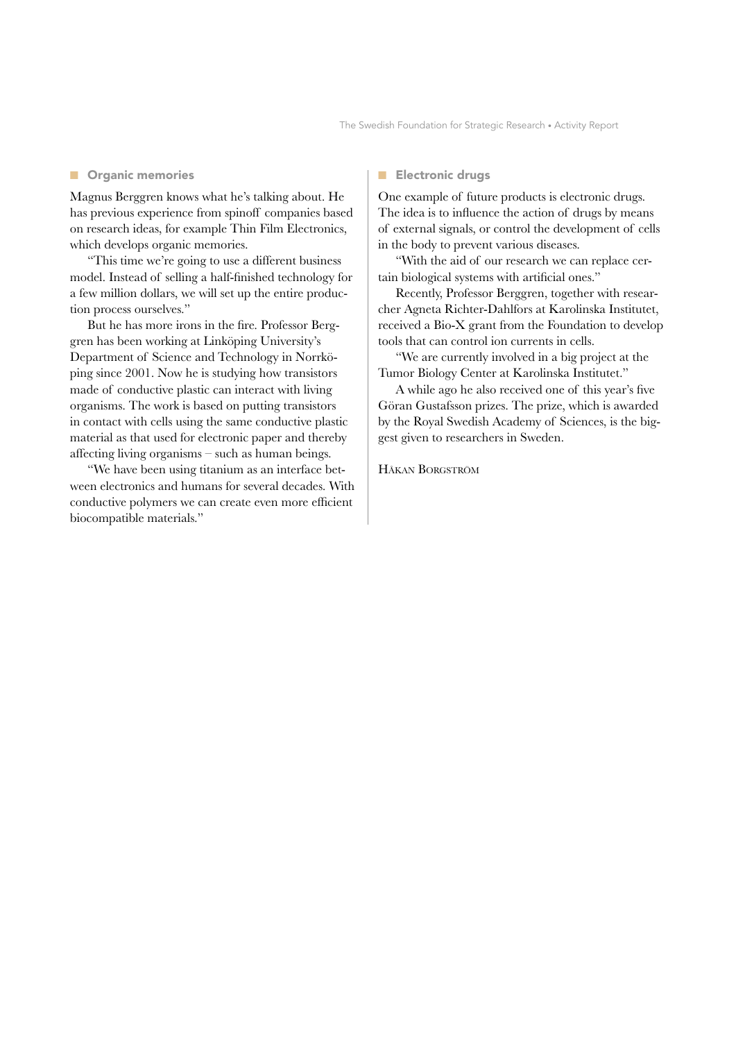#### ■ Organic memories

Magnus Berggren knows what he's talking about. He has previous experience from spinoff companies based on research ideas, for example Thin Film Electronics, which develops organic memories.

"This time we're going to use a different business model. Instead of selling a half-finished technology for a few million dollars, we will set up the entire production process ourselves."

But he has more irons in the fire. Professor Berggren has been working at Linköping University's Department of Science and Technology in Norrköping since 2001. Now he is studying how transistors made of conductive plastic can interact with living organisms. The work is based on putting transistors in contact with cells using the same conductive plastic material as that used for electronic paper and thereby affecting living organisms – such as human beings.

"We have been using titanium as an interface between electronics and humans for several decades. With conductive polymers we can create even more efficient biocompatible materials."

#### ■ Electronic drugs

One example of future products is electronic drugs. The idea is to influence the action of drugs by means of external signals, or control the development of cells in the body to prevent various diseases.

"With the aid of our research we can replace certain biological systems with artificial ones."

Recently, Professor Berggren, together with researcher Agneta Richter-Dahlfors at Karolinska Institutet, received a Bio-X grant from the Foundation to develop tools that can control ion currents in cells.

"We are currently involved in a big project at the Tumor Biology Center at Karolinska Institutet."

A while ago he also received one of this year's five Göran Gustafsson prizes. The prize, which is awarded by the Royal Swedish Academy of Sciences, is the biggest given to researchers in Sweden.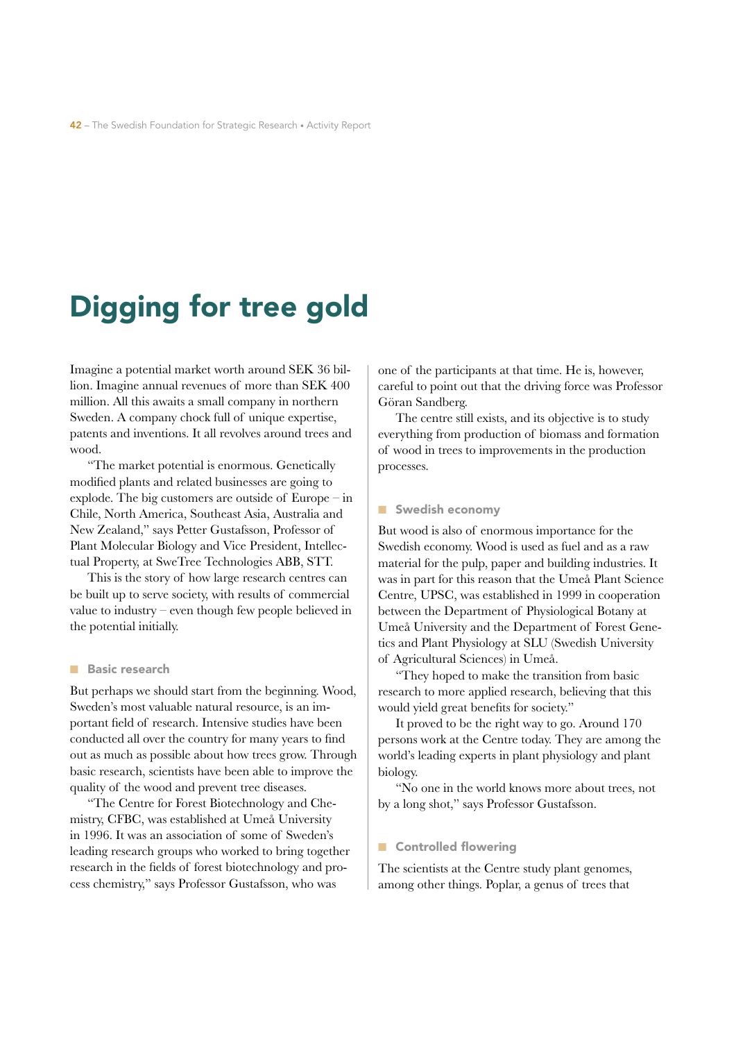# Digging for tree gold

Imagine a potential market worth around SEK 36 billion. Imagine annual revenues of more than SEK 400 million. All this awaits a small company in northern Sweden. A company chock full of unique expertise, patents and inventions. It all revolves around trees and wood

"The market potential is enormous. Genetically modified plants and related businesses are going to explode. The big customers are outside of  $Europe - in$ Chile, North America, Southeast Asia, Australia and New Zealand," says Petter Gustafsson, Professor of Plant Molecular Biology and Vice President, Intellectual Property, at SweTree Technologies ABB, STT.

This is the story of how large research centres can be built up to serve society, with results of commercial value to industry  $-\neq$  even though few people believed in the potential initially.

#### **Basic research**

But perhaps we should start from the beginning. Wood, Sweden's most valuable natural resource, is an important field of research. Intensive studies have been conducted all over the country for many years to find out as much as possible about how trees grow. Through basic research, scientists have been able to improve the quality of the wood and prevent tree diseases.

"The Centre for Forest Biotechnology and Chemistry, CFBC, was established at Umeå University in 1996. It was an association of some of Sweden's leading research groups who worked to bring together research in the fields of forest biotechnology and process chemistry," says Professor Gustafsson, who was

one of the participants at that time. He is, however, careful to point out that the driving force was Professor Göran Sandberg.

The centre still exists, and its objective is to study everything from production of biomass and formation of wood in trees to improvements in the production processes.

#### Swedish economy

But wood is also of enormous importance for the Swedish economy. Wood is used as fuel and as a raw material for the pulp, paper and building industries. It was in part for this reason that the Umeå Plant Science Centre, UPSC, was established in 1999 in cooperation between the Department of Physiological Botany at Umeå University and the Department of Forest Genetics and Plant Physiology at SLU (Swedish University of Agricultural Sciences) in Umeå.

"They hoped to make the transition from basic research to more applied research, believing that this would yield great benefits for society."

It proved to be the right way to go. Around 170 persons work at the Centre today. They are among the world's leading experts in plant physiology and plant biology.

"No one in the world knows more about trees, not by a long shot," says Professor Gustafsson.

### Controlled flowering

The scientists at the Centre study plant genomes, among other things. Poplar, a genus of trees that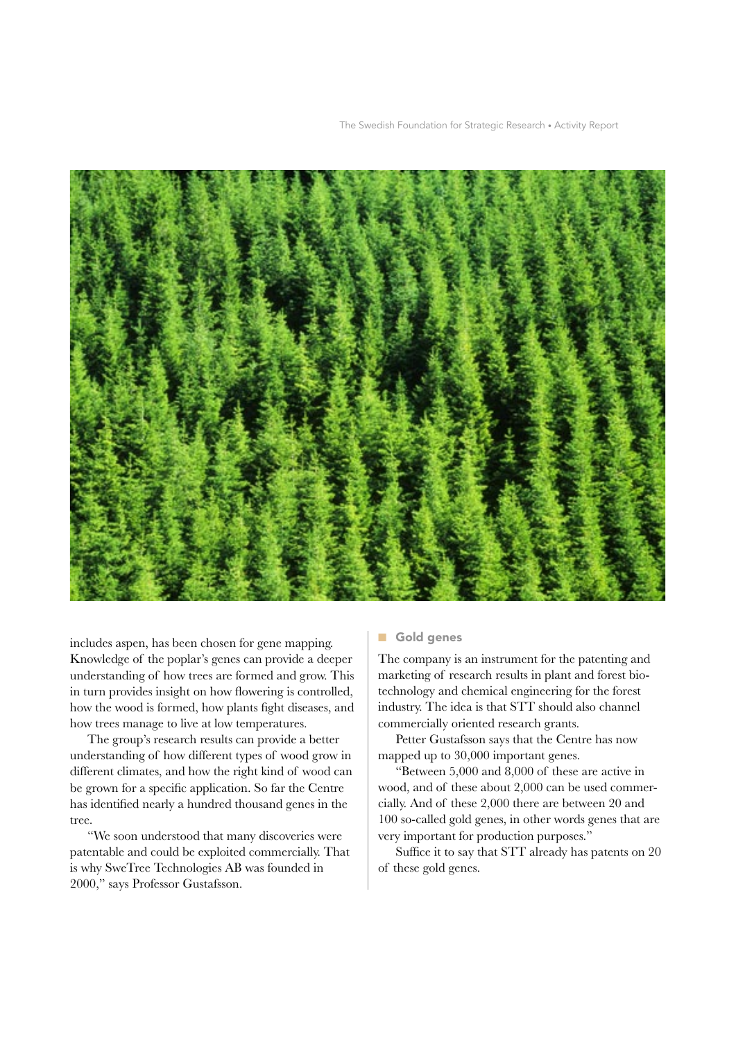The Swedish Foundation for Strategic Research • Activity Report



includes aspen, has been chosen for gene mapping. Knowledge of the poplar's genes can provide a deeper understanding of how trees are formed and grow. This in turn provides insight on how flowering is controlled, how the wood is formed, how plants fight diseases, and how trees manage to live at low temperatures.

The group's research results can provide a better understanding of how different types of wood grow in different climates, and how the right kind of wood can be grown for a specific application. So far the Centre has identified nearly a hundred thousand genes in the tree.

"We soon understood that many discoveries were patentable and could be exploited commercially. That is why SweTree Technologies AB was founded in 2000," says Professor Gustafsson.

# Gold genes

The company is an instrument for the patenting and marketing of research results in plant and forest biotechnology and chemical engineering for the forest industry. The idea is that STT should also channel commercially oriented research grants.

Petter Gustafsson says that the Centre has now mapped up to 30,000 important genes.

"Between 5,000 and 8,000 of these are active in wood, and of these about 2,000 can be used commercially. And of these 2,000 there are between 20 and 100 so-called gold genes, in other words genes that are very important for production purposes."

Suffice it to say that STT already has patents on 20 of these gold genes.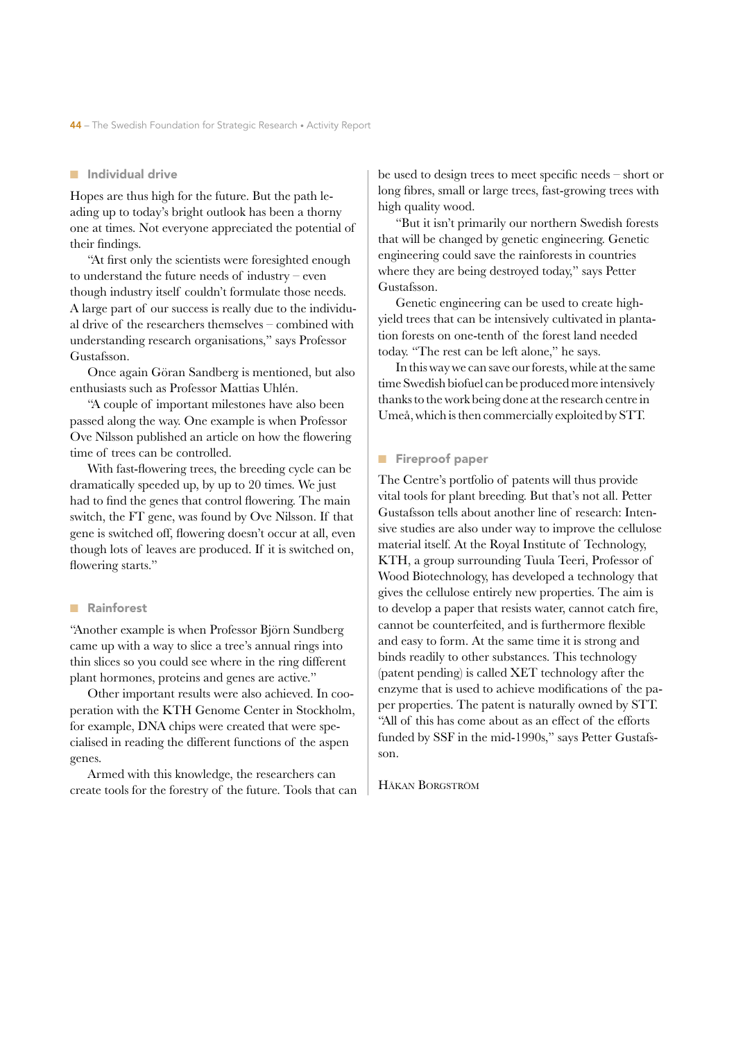#### ■ Individual drive

Hopes are thus high for the future. But the path leading up to today's bright outlook has been a thorny one at times. Not everyone appreciated the potential of their findings.

"At first only the scientists were foresighted enough to understand the future needs of industry – even though industry itself couldn't formulate those needs. A large part of our success is really due to the individual drive of the researchers themselves – combined with understanding research organisations," says Professor Gustafsson.

Once again Göran Sandberg is mentioned, but also enthusiasts such as Professor Mattias Uhlén.

"A couple of important milestones have also been passed along the way. One example is when Professor Ove Nilsson published an article on how the flowering time of trees can be controlled.

With fast-flowering trees, the breeding cycle can be dramatically speeded up, by up to 20 times. We just had to find the genes that control flowering. The main switch, the FT gene, was found by Ove Nilsson. If that gene is switched off, flowering doesn't occur at all, even though lots of leaves are produced. If it is switched on, flowering starts."

#### ■ Rainforest

"Another example is when Professor Björn Sundberg came up with a way to slice a tree's annual rings into thin slices so you could see where in the ring different plant hormones, proteins and genes are active."

Other important results were also achieved. In cooperation with the KTH Genome Center in Stockholm, for example, DNA chips were created that were specialised in reading the different functions of the aspen genes.

Armed with this knowledge, the researchers can create tools for the forestry of the future. Tools that can be used to design trees to meet specific needs – short or long fibres, small or large trees, fast-growing trees with high quality wood.

"But it isn't primarily our northern Swedish forests that will be changed by genetic engineering. Genetic engineering could save the rainforests in countries where they are being destroyed today," says Petter Gustafsson.

Genetic engineering can be used to create highyield trees that can be intensively cultivated in plantation forests on one-tenth of the forest land needed today. "The rest can be left alone," he says.

In this way we can save our forests, while at the same time Swedish biofuel can be produced more intensively thanks to the work being done at the research centre in Umeå, which is then commercially exploited by STT.

#### ■ Fireproof paper

The Centre's portfolio of patents will thus provide vital tools for plant breeding. But that's not all. Petter Gustafsson tells about another line of research: Intensive studies are also under way to improve the cellulose material itself. At the Royal Institute of Technology, KTH, a group surrounding Tuula Teeri, Professor of Wood Biotechnology, has developed a technology that gives the cellulose entirely new properties. The aim is to develop a paper that resists water, cannot catch fire, cannot be counterfeited, and is furthermore flexible and easy to form. At the same time it is strong and binds readily to other substances. This technology (patent pending) is called XET technology after the enzyme that is used to achieve modifications of the paper properties. The patent is naturally owned by STT. "All of this has come about as an effect of the efforts funded by SSF in the mid-1990s," says Petter Gustafsson.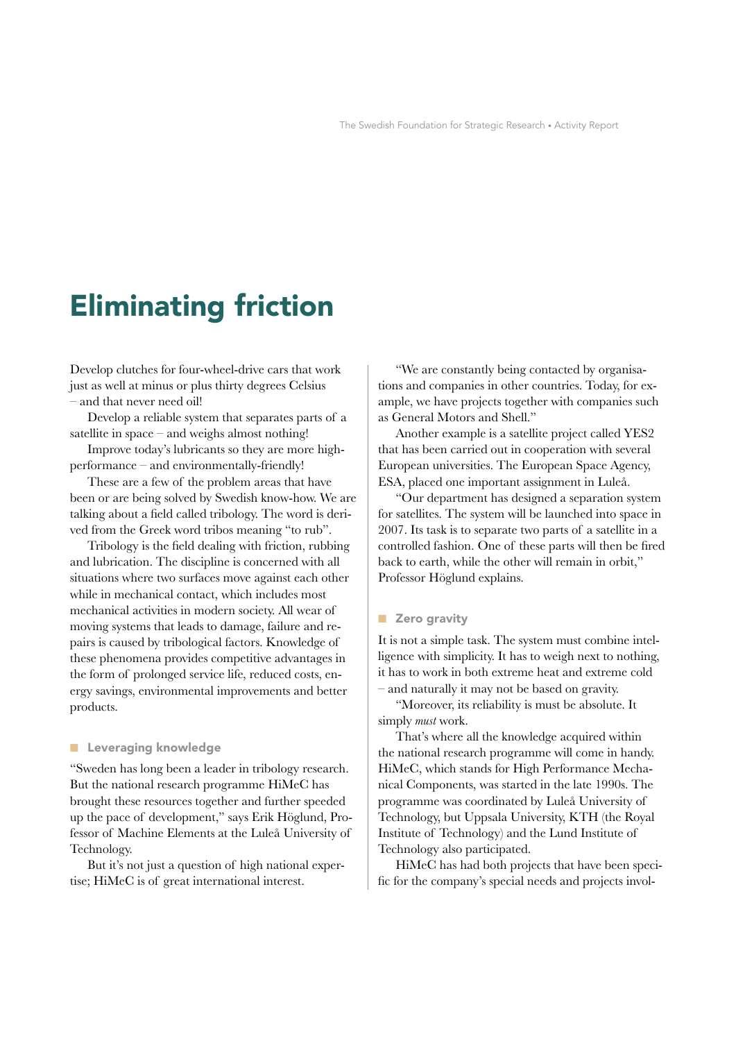# **Eliminating friction**

Develop clutches for four-wheel-drive cars that work just as well at minus or plus thirty degrees Celsius - and that never need oil!

Develop a reliable system that separates parts of a satellite in space  $-$  and weighs almost nothing!

Improve today's lubricants so they are more highperformance - and environmentally-friendly!

These are a few of the problem areas that have been or are being solved by Swedish know-how. We are talking about a field called tribology. The word is derived from the Greek word tribos meaning "to rub".

Tribology is the field dealing with friction, rubbing and lubrication. The discipline is concerned with all situations where two surfaces move against each other while in mechanical contact, which includes most mechanical activities in modern society. All wear of moving systems that leads to damage, failure and repairs is caused by tribological factors. Knowledge of these phenomena provides competitive advantages in the form of prolonged service life, reduced costs, energy savings, environmental improvements and better products.

#### **E** Leveraging knowledge

"Sweden has long been a leader in tribology research. But the national research programme HiMeC has brought these resources together and further speeded up the pace of development," says Erik Höglund, Professor of Machine Elements at the Luleå University of Technology.

But it's not just a question of high national expertise; HiMeC is of great international interest.

"We are constantly being contacted by organisations and companies in other countries. Today, for example, we have projects together with companies such as General Motors and Shell."

Another example is a satellite project called YES2 that has been carried out in cooperation with several European universities. The European Space Agency, ESA, placed one important assignment in Luleå.

"Our department has designed a separation system for satellites. The system will be launched into space in 2007. Its task is to separate two parts of a satellite in a controlled fashion. One of these parts will then be fired back to earth, while the other will remain in orbit," Professor Höglund explains.

#### **Zero gravity**

It is not a simple task. The system must combine intelligence with simplicity. It has to weigh next to nothing, it has to work in both extreme heat and extreme cold  $-$  and naturally it may not be based on gravity.

"Moreover, its reliability is must be absolute. It simply must work.

That's where all the knowledge acquired within the national research programme will come in handy. HiMeC, which stands for High Performance Mechanical Components, was started in the late 1990s. The programme was coordinated by Luleå University of Technology, but Uppsala University, KTH (the Royal Institute of Technology) and the Lund Institute of Technology also participated.

HiMeC has had both projects that have been specific for the company's special needs and projects invol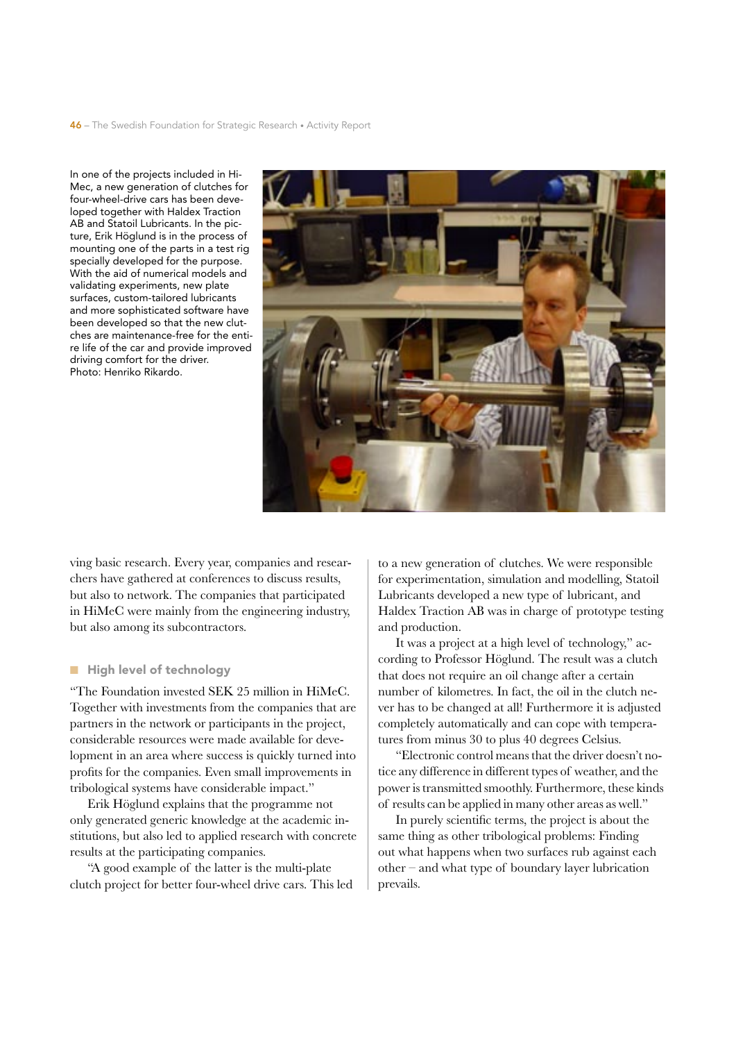In one of the projects included in Hi-Mec, a new generation of clutches for four-wheel-drive cars has been developed together with Haldex Traction AB and Statoil Lubricants. In the picture, Erik Höglund is in the process of mounting one of the parts in a test rig specially developed for the purpose. With the aid of numerical models and validating experiments, new plate surfaces, custom-tailored lubricants and more sophisticated software have been developed so that the new clutches are maintenance-free for the entire life of the car and provide improved driving comfort for the driver. Photo: Henriko Rikardo.



ving basic research. Every year, companies and researchers have gathered at conferences to discuss results. but also to network. The companies that participated in HiMeC were mainly from the engineering industry, but also among its subcontractors.

## High level of technology

"The Foundation invested SEK 25 million in HiMeC. Together with investments from the companies that are partners in the network or participants in the project, considerable resources were made available for development in an area where success is quickly turned into profits for the companies. Even small improvements in tribological systems have considerable impact."

Erik Höglund explains that the programme not only generated generic knowledge at the academic institutions, but also led to applied research with concrete results at the participating companies.

"A good example of the latter is the multi-plate" clutch project for better four-wheel drive cars. This led to a new generation of clutches. We were responsible for experimentation, simulation and modelling, Statoil Lubricants developed a new type of lubricant, and Haldex Traction AB was in charge of prototype testing and production.

It was a project at a high level of technology," according to Professor Höglund. The result was a clutch that does not require an oil change after a certain number of kilometres. In fact, the oil in the clutch never has to be changed at all! Furthermore it is adjusted completely automatically and can cope with temperatures from minus 30 to plus 40 degrees Celsius.

"Electronic control means that the driver doesn't notice any difference in different types of weather, and the power is transmitted smoothly. Furthermore, these kinds of results can be applied in many other areas as well."

In purely scientific terms, the project is about the same thing as other tribological problems: Finding out what happens when two surfaces rub against each other – and what type of boundary layer lubrication prevails.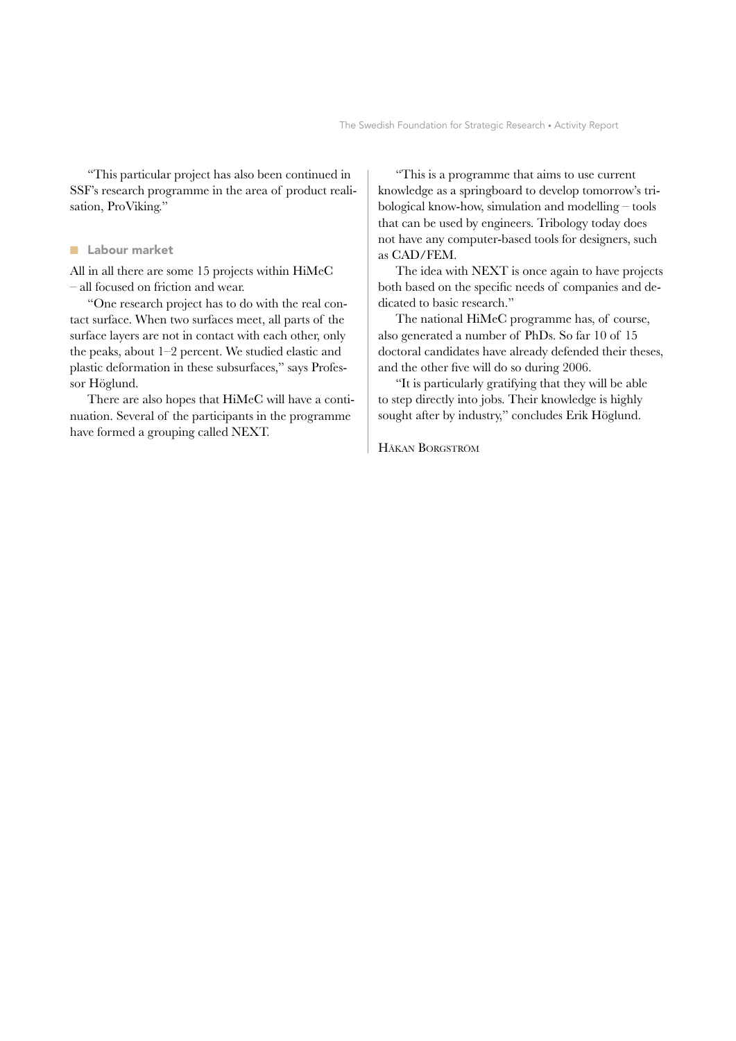"This particular project has also been continued in SSF's research programme in the area of product realisation, ProViking."

## ■ Labour market

All in all there are some 15 projects within HiMeC – all focused on friction and wear.

"One research project has to do with the real contact surface. When two surfaces meet, all parts of the surface layers are not in contact with each other, only the peaks, about 1–2 percent. We studied elastic and plastic deformation in these subsurfaces," says Professor Höglund.

There are also hopes that HiMeC will have a continuation. Several of the participants in the programme have formed a grouping called NEXT.

"This is a programme that aims to use current knowledge as a springboard to develop tomorrow's tribological know-how, simulation and modelling – tools that can be used by engineers. Tribology today does not have any computer-based tools for designers, such as CAD/FEM.

The idea with NEXT is once again to have projects both based on the specific needs of companies and dedicated to basic research."

The national HiMeC programme has, of course, also generated a number of PhDs. So far 10 of 15 doctoral candidates have already defended their theses, and the other five will do so during 2006.

"It is particularly gratifying that they will be able to step directly into jobs. Their knowledge is highly sought after by industry," concludes Erik Höglund.